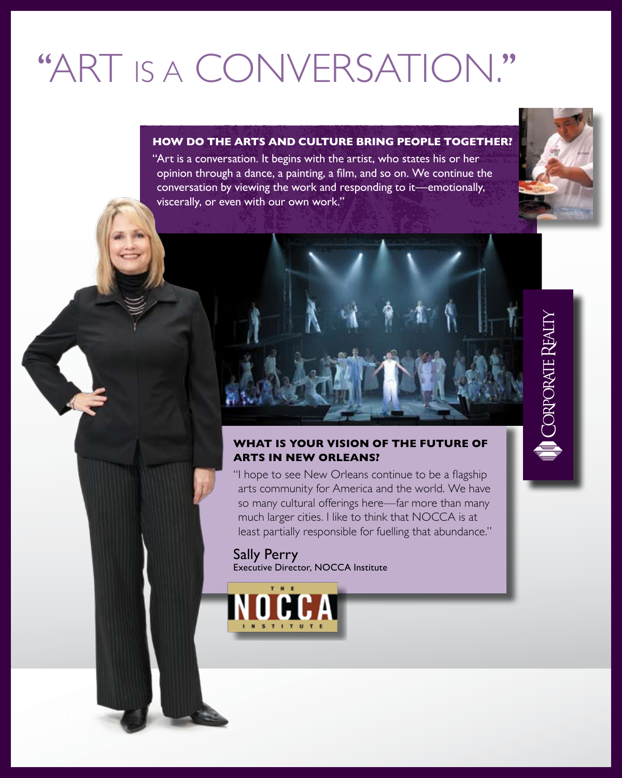# ''Art is a conversation.''

### **How do the arts and culture bring people together?**

"Art is a conversation. It begins with the artist, who states his or her opinion through a dance, a painting, a film, and so on. We continue the conversation by viewing the work and responding to it—emotionally, viscerally, or even with our own work."





### **What is your vision of the future of arts in New Orleans?**

"I hope to see New Orleans continue to be a flagship arts community for America and the world. We have so many cultural offerings here—far more than many much larger cities. I like to think that NOCCA is at least partially responsible for fuelling that abundance."

Sally Perry Executive Director, NOCCA Institute CORPORATE REALTY